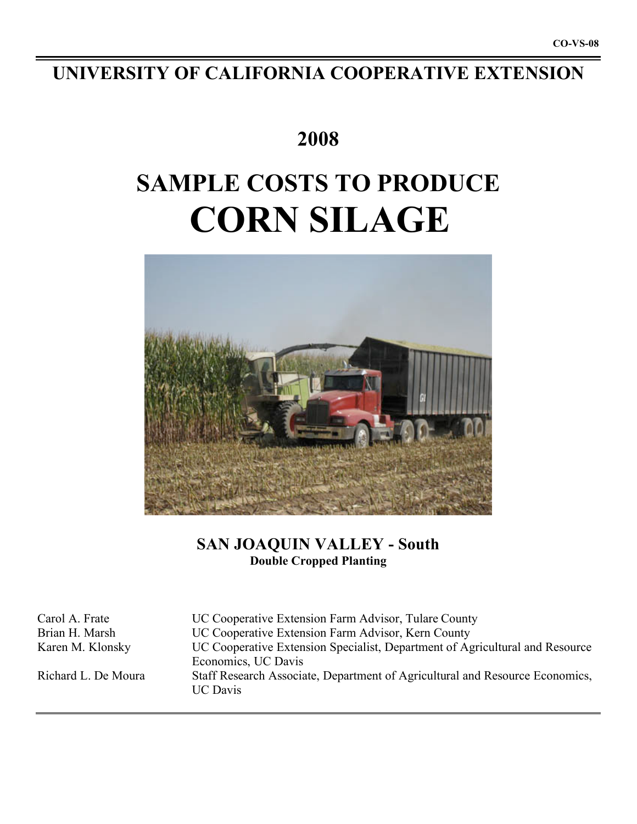# **UNIVERSITY OF CALIFORNIA COOPERATIVE EXTENSION**

## **2008**

# **SAMPLE COSTS TO PRODUCE CORN SILAGE**



## **SAN JOAQUIN VALLEY - South Double Cropped Planting**

| Carol A. Frate      | UC Cooperative Extension Farm Advisor, Tulare County                                                |
|---------------------|-----------------------------------------------------------------------------------------------------|
| Brian H. Marsh      | UC Cooperative Extension Farm Advisor, Kern County                                                  |
| Karen M. Klonsky    | UC Cooperative Extension Specialist, Department of Agricultural and Resource<br>Economics, UC Davis |
| Richard L. De Moura | Staff Research Associate, Department of Agricultural and Resource Economics,<br><b>UC</b> Davis     |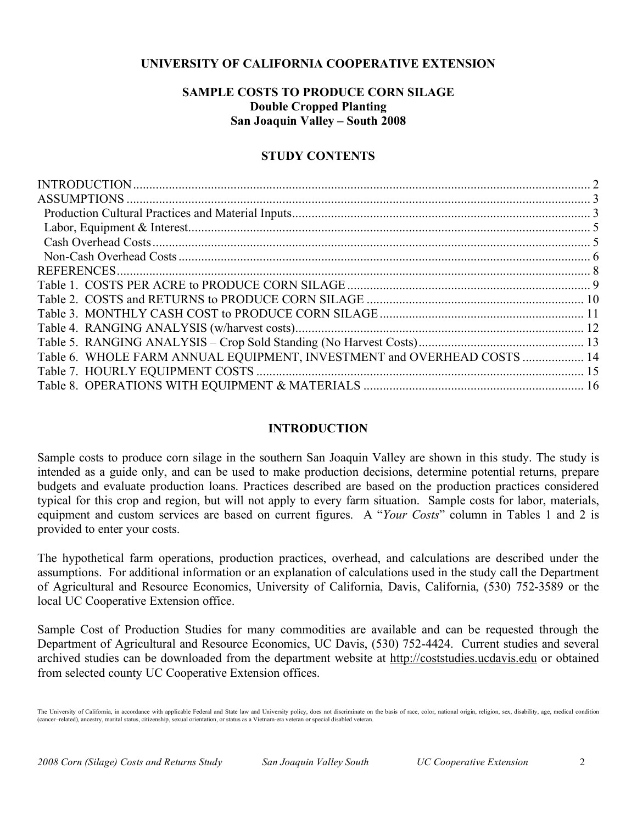## **UNIVERSITY OF CALIFORNIA COOPERATIVE EXTENSION**

## **SAMPLE COSTS TO PRODUCE CORN SILAGE Double Cropped Planting San Joaquin Valley – South 2008**

## **STUDY CONTENTS**

| Table 6. WHOLE FARM ANNUAL EQUIPMENT, INVESTMENT and OVERHEAD COSTS  14 |  |
|-------------------------------------------------------------------------|--|
|                                                                         |  |
|                                                                         |  |

## **INTRODUCTION**

Sample costs to produce corn silage in the southern San Joaquin Valley are shown in this study. The study is intended as a guide only, and can be used to make production decisions, determine potential returns, prepare budgets and evaluate production loans. Practices described are based on the production practices considered typical for this crop and region, but will not apply to every farm situation. Sample costs for labor, materials, equipment and custom services are based on current figures. A "*Your Costs*" column in Tables 1 and 2 is provided to enter your costs.

The hypothetical farm operations, production practices, overhead, and calculations are described under the assumptions. For additional information or an explanation of calculations used in the study call the Department of Agricultural and Resource Economics, University of California, Davis, California, (530) 752-3589 or the local UC Cooperative Extension office.

Sample Cost of Production Studies for many commodities are available and can be requested through the Department of Agricultural and Resource Economics, UC Davis, (530) 752-4424. Current studies and several archived studies can be downloaded from the department website at http://coststudies.ucdavis.edu or obtained from selected county UC Cooperative Extension offices.

The University of California, in accordance with applicable Federal and State law and University policy, does not discriminate on the basis of race, color, national origin, religion, sex, disability, age, medical condition (cancer–related), ancestry, marital status, citizenship, sexual orientation, or status as a Vietnam-era veteran or special disabled veteran.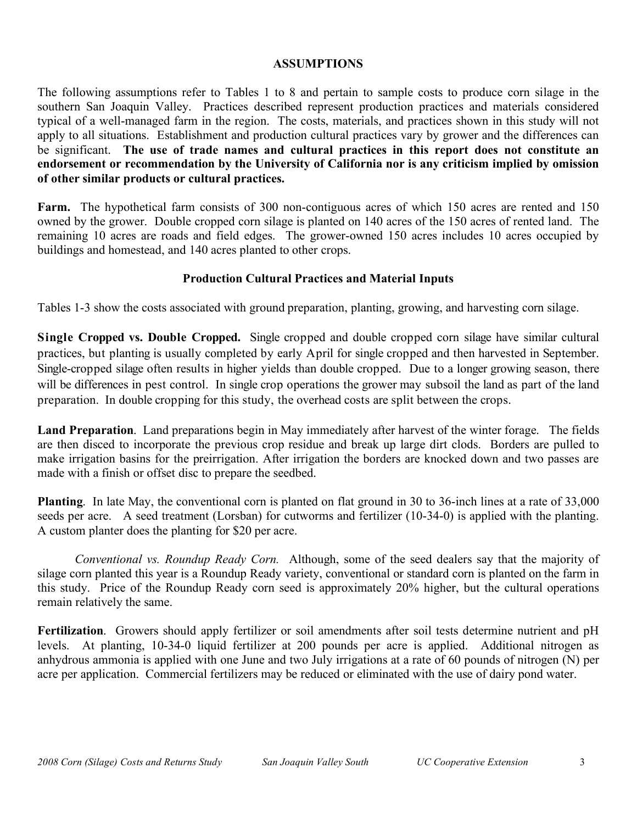## **ASSUMPTIONS**

The following assumptions refer to Tables 1 to 8 and pertain to sample costs to produce corn silage in the southern San Joaquin Valley. Practices described represent production practices and materials considered typical of a well-managed farm in the region. The costs, materials, and practices shown in this study will not apply to all situations. Establishment and production cultural practices vary by grower and the differences can be significant. **The use of trade names and cultural practices in this report does not constitute an endorsement or recommendation by the University of California nor is any criticism implied by omission of other similar products or cultural practices.**

**Farm.** The hypothetical farm consists of 300 non-contiguous acres of which 150 acres are rented and 150 owned by the grower. Double cropped corn silage is planted on 140 acres of the 150 acres of rented land. The remaining 10 acres are roads and field edges. The grower-owned 150 acres includes 10 acres occupied by buildings and homestead, and 140 acres planted to other crops.

## **Production Cultural Practices and Material Inputs**

Tables 1-3 show the costs associated with ground preparation, planting, growing, and harvesting corn silage.

**Single Cropped vs. Double Cropped.** Single cropped and double cropped corn silage have similar cultural practices, but planting is usually completed by early April for single cropped and then harvested in September. Single-cropped silage often results in higher yields than double cropped. Due to a longer growing season, there will be differences in pest control. In single crop operations the grower may subsoil the land as part of the land preparation. In double cropping for this study, the overhead costs are split between the crops.

**Land Preparation**. Land preparations begin in May immediately after harvest of the winter forage. The fields are then disced to incorporate the previous crop residue and break up large dirt clods. Borders are pulled to make irrigation basins for the preirrigation. After irrigation the borders are knocked down and two passes are made with a finish or offset disc to prepare the seedbed.

**Planting**. In late May, the conventional corn is planted on flat ground in 30 to 36-inch lines at a rate of 33,000 seeds per acre. A seed treatment (Lorsban) for cutworms and fertilizer (10-34-0) is applied with the planting. A custom planter does the planting for \$20 per acre.

*Conventional vs. Roundup Ready Corn.* Although, some of the seed dealers say that the majority of silage corn planted this year is a Roundup Ready variety, conventional or standard corn is planted on the farm in this study. Price of the Roundup Ready corn seed is approximately 20% higher, but the cultural operations remain relatively the same.

**Fertilization**. Growers should apply fertilizer or soil amendments after soil tests determine nutrient and pH levels. At planting, 10-34-0 liquid fertilizer at 200 pounds per acre is applied. Additional nitrogen as anhydrous ammonia is applied with one June and two July irrigations at a rate of 60 pounds of nitrogen (N) per acre per application. Commercial fertilizers may be reduced or eliminated with the use of dairy pond water.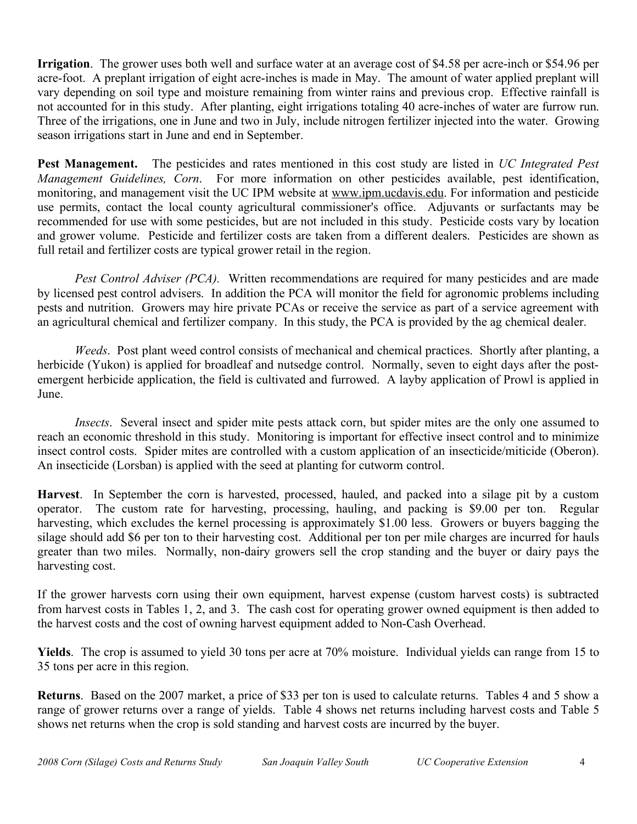**Irrigation**. The grower uses both well and surface water at an average cost of \$4.58 per acre-inch or \$54.96 per acre-foot. A preplant irrigation of eight acre-inches is made in May. The amount of water applied preplant will vary depending on soil type and moisture remaining from winter rains and previous crop. Effective rainfall is not accounted for in this study. After planting, eight irrigations totaling 40 acre-inches of water are furrow run. Three of the irrigations, one in June and two in July, include nitrogen fertilizer injected into the water. Growing season irrigations start in June and end in September.

**Pest Management.** The pesticides and rates mentioned in this cost study are listed in *UC Integrated Pest Management Guidelines, Corn*. For more information on other pesticides available, pest identification, monitoring, and management visit the UC IPM website at www.ipm.ucdavis.edu. For information and pesticide use permits, contact the local county agricultural commissioner's office. Adjuvants or surfactants may be recommended for use with some pesticides, but are not included in this study. Pesticide costs vary by location and grower volume. Pesticide and fertilizer costs are taken from a different dealers. Pesticides are shown as full retail and fertilizer costs are typical grower retail in the region.

*Pest Control Adviser (PCA).* Written recommendations are required for many pesticides and are made by licensed pest control advisers. In addition the PCA will monitor the field for agronomic problems including pests and nutrition. Growers may hire private PCAs or receive the service as part of a service agreement with an agricultural chemical and fertilizer company. In this study, the PCA is provided by the ag chemical dealer.

*Weeds*. Post plant weed control consists of mechanical and chemical practices. Shortly after planting, a herbicide (Yukon) is applied for broadleaf and nutsedge control. Normally, seven to eight days after the postemergent herbicide application, the field is cultivated and furrowed. A layby application of Prowl is applied in June.

*Insects.* Several insect and spider mite pests attack corn, but spider mites are the only one assumed to reach an economic threshold in this study. Monitoring is important for effective insect control and to minimize insect control costs. Spider mites are controlled with a custom application of an insecticide/miticide (Oberon). An insecticide (Lorsban) is applied with the seed at planting for cutworm control.

**Harvest**. In September the corn is harvested, processed, hauled, and packed into a silage pit by a custom operator. The custom rate for harvesting, processing, hauling, and packing is \$9.00 per ton. Regular harvesting, which excludes the kernel processing is approximately \$1.00 less. Growers or buyers bagging the silage should add \$6 per ton to their harvesting cost. Additional per ton per mile charges are incurred for hauls greater than two miles. Normally, non-dairy growers sell the crop standing and the buyer or dairy pays the harvesting cost.

If the grower harvests corn using their own equipment, harvest expense (custom harvest costs) is subtracted from harvest costs in Tables 1, 2, and 3. The cash cost for operating grower owned equipment is then added to the harvest costs and the cost of owning harvest equipment added to Non-Cash Overhead.

**Yields**. The crop is assumed to yield 30 tons per acre at 70% moisture. Individual yields can range from 15 to 35 tons per acre in this region.

**Returns**. Based on the 2007 market, a price of \$33 per ton is used to calculate returns. Tables 4 and 5 show a range of grower returns over a range of yields. Table 4 shows net returns including harvest costs and Table 5 shows net returns when the crop is sold standing and harvest costs are incurred by the buyer.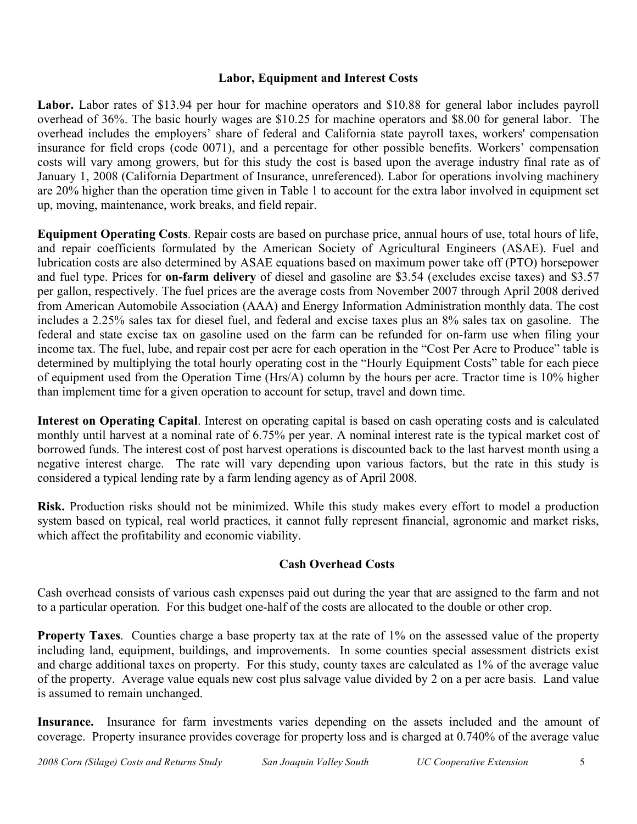## **Labor, Equipment and Interest Costs**

**Labor.** Labor rates of \$13.94 per hour for machine operators and \$10.88 for general labor includes payroll overhead of 36%. The basic hourly wages are \$10.25 for machine operators and \$8.00 for general labor. The overhead includes the employers' share of federal and California state payroll taxes, workers' compensation insurance for field crops (code 0071), and a percentage for other possible benefits. Workers' compensation costs will vary among growers, but for this study the cost is based upon the average industry final rate as of January 1, 2008 (California Department of Insurance, unreferenced). Labor for operations involving machinery are 20% higher than the operation time given in Table 1 to account for the extra labor involved in equipment set up, moving, maintenance, work breaks, and field repair.

**Equipment Operating Costs**. Repair costs are based on purchase price, annual hours of use, total hours of life, and repair coefficients formulated by the American Society of Agricultural Engineers (ASAE). Fuel and lubrication costs are also determined by ASAE equations based on maximum power take off (PTO) horsepower and fuel type. Prices for **on-farm delivery** of diesel and gasoline are \$3.54 (excludes excise taxes) and \$3.57 per gallon, respectively. The fuel prices are the average costs from November 2007 through April 2008 derived from American Automobile Association (AAA) and Energy Information Administration monthly data. The cost includes a 2.25% sales tax for diesel fuel, and federal and excise taxes plus an 8% sales tax on gasoline. The federal and state excise tax on gasoline used on the farm can be refunded for on-farm use when filing your income tax. The fuel, lube, and repair cost per acre for each operation in the "Cost Per Acre to Produce" table is determined by multiplying the total hourly operating cost in the "Hourly Equipment Costs" table for each piece of equipment used from the Operation Time (Hrs/A) column by the hours per acre. Tractor time is 10% higher than implement time for a given operation to account for setup, travel and down time.

**Interest on Operating Capital**. Interest on operating capital is based on cash operating costs and is calculated monthly until harvest at a nominal rate of 6.75% per year. A nominal interest rate is the typical market cost of borrowed funds. The interest cost of post harvest operations is discounted back to the last harvest month using a negative interest charge. The rate will vary depending upon various factors, but the rate in this study is considered a typical lending rate by a farm lending agency as of April 2008.

**Risk.** Production risks should not be minimized. While this study makes every effort to model a production system based on typical, real world practices, it cannot fully represent financial, agronomic and market risks, which affect the profitability and economic viability.

## **Cash Overhead Costs**

Cash overhead consists of various cash expenses paid out during the year that are assigned to the farm and not to a particular operation. For this budget one-half of the costs are allocated to the double or other crop.

**Property Taxes**. Counties charge a base property tax at the rate of 1% on the assessed value of the property including land, equipment, buildings, and improvements. In some counties special assessment districts exist and charge additional taxes on property. For this study, county taxes are calculated as 1% of the average value of the property. Average value equals new cost plus salvage value divided by 2 on a per acre basis. Land value is assumed to remain unchanged.

**Insurance.** Insurance for farm investments varies depending on the assets included and the amount of coverage. Property insurance provides coverage for property loss and is charged at 0.740% of the average value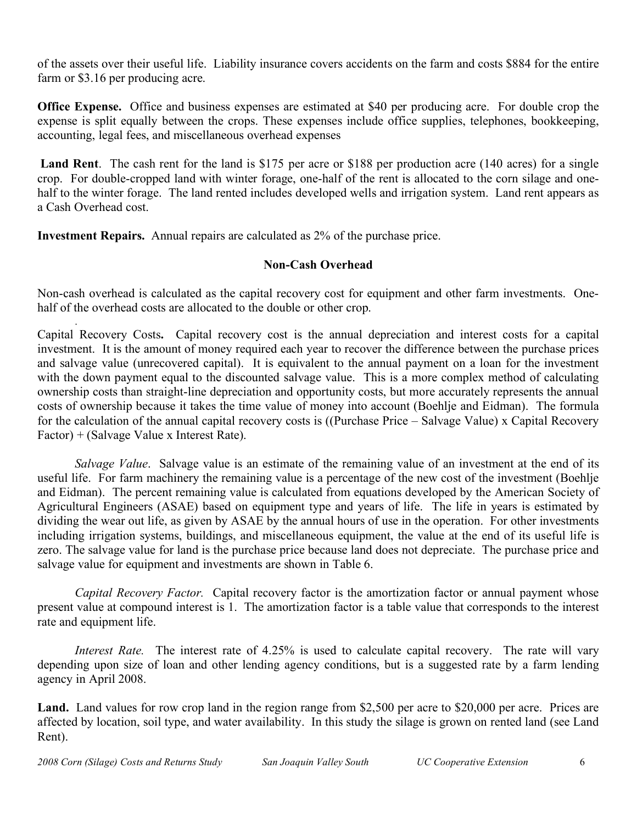of the assets over their useful life. Liability insurance covers accidents on the farm and costs \$884 for the entire farm or \$3.16 per producing acre.

**Office Expense.** Office and business expenses are estimated at \$40 per producing acre. For double crop the expense is split equally between the crops. These expenses include office supplies, telephones, bookkeeping, accounting, legal fees, and miscellaneous overhead expenses

**Land Rent**. The cash rent for the land is \$175 per acre or \$188 per production acre (140 acres) for a single crop. For double-cropped land with winter forage, one-half of the rent is allocated to the corn silage and onehalf to the winter forage. The land rented includes developed wells and irrigation system. Land rent appears as a Cash Overhead cost.

**Investment Repairs.** Annual repairs are calculated as 2% of the purchase price.

## **Non-Cash Overhead**

Non-cash overhead is calculated as the capital recovery cost for equipment and other farm investments. Onehalf of the overhead costs are allocated to the double or other crop.

Capital Recovery Costs**.** Capital recovery cost is the annual depreciation and interest costs for a capital investment. It is the amount of money required each year to recover the difference between the purchase prices and salvage value (unrecovered capital). It is equivalent to the annual payment on a loan for the investment with the down payment equal to the discounted salvage value. This is a more complex method of calculating ownership costs than straight-line depreciation and opportunity costs, but more accurately represents the annual costs of ownership because it takes the time value of money into account (Boehlje and Eidman). The formula for the calculation of the annual capital recovery costs is ((Purchase Price – Salvage Value) x Capital Recovery Factor) + (Salvage Value x Interest Rate).

*Salvage Value*. Salvage value is an estimate of the remaining value of an investment at the end of its useful life. For farm machinery the remaining value is a percentage of the new cost of the investment (Boehlje and Eidman). The percent remaining value is calculated from equations developed by the American Society of Agricultural Engineers (ASAE) based on equipment type and years of life. The life in years is estimated by dividing the wear out life, as given by ASAE by the annual hours of use in the operation. For other investments including irrigation systems, buildings, and miscellaneous equipment, the value at the end of its useful life is zero. The salvage value for land is the purchase price because land does not depreciate. The purchase price and salvage value for equipment and investments are shown in Table 6.

*Capital Recovery Factor.* Capital recovery factor is the amortization factor or annual payment whose present value at compound interest is 1. The amortization factor is a table value that corresponds to the interest rate and equipment life.

*Interest Rate.* The interest rate of 4.25% is used to calculate capital recovery. The rate will vary depending upon size of loan and other lending agency conditions, but is a suggested rate by a farm lending agency in April 2008.

Land. Land values for row crop land in the region range from \$2,500 per acre to \$20,000 per acre. Prices are affected by location, soil type, and water availability. In this study the silage is grown on rented land (see Land Rent).

.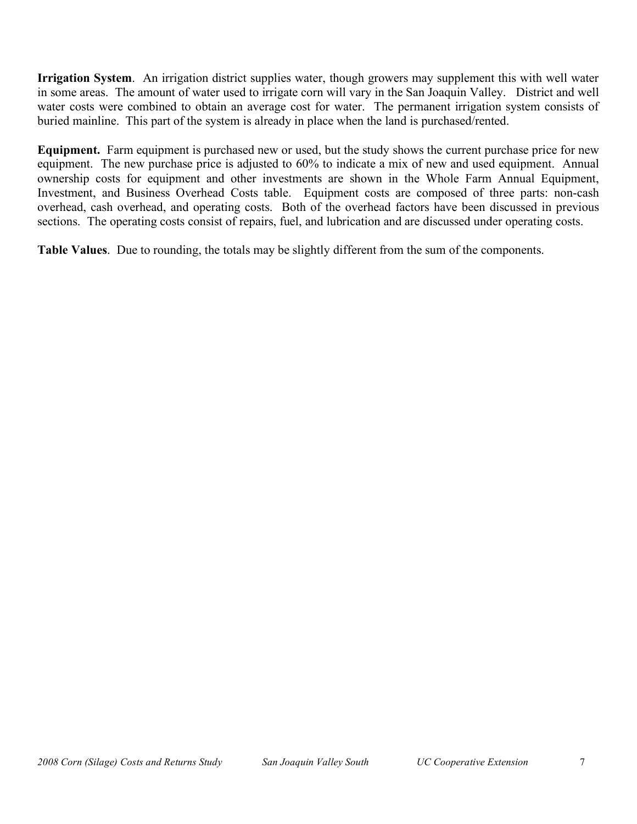**Irrigation System**. An irrigation district supplies water, though growers may supplement this with well water in some areas. The amount of water used to irrigate corn will vary in the San Joaquin Valley. District and well water costs were combined to obtain an average cost for water. The permanent irrigation system consists of buried mainline. This part of the system is already in place when the land is purchased/rented.

**Equipment.** Farm equipment is purchased new or used, but the study shows the current purchase price for new equipment. The new purchase price is adjusted to 60% to indicate a mix of new and used equipment. Annual ownership costs for equipment and other investments are shown in the Whole Farm Annual Equipment, Investment, and Business Overhead Costs table. Equipment costs are composed of three parts: non-cash overhead, cash overhead, and operating costs. Both of the overhead factors have been discussed in previous sections. The operating costs consist of repairs, fuel, and lubrication and are discussed under operating costs.

**Table Values**. Due to rounding, the totals may be slightly different from the sum of the components.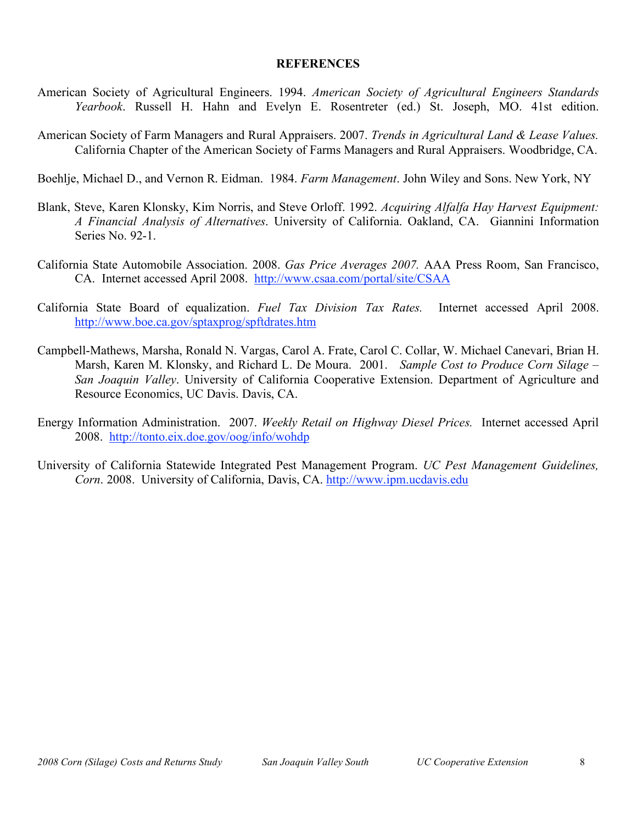### **REFERENCES**

- American Society of Agricultural Engineers. 1994. *American Society of Agricultural Engineers Standards Yearbook*. Russell H. Hahn and Evelyn E. Rosentreter (ed.) St. Joseph, MO. 41st edition.
- American Society of Farm Managers and Rural Appraisers. 2007. *Trends in Agricultural Land & Lease Values.* California Chapter of the American Society of Farms Managers and Rural Appraisers. Woodbridge, CA.

Boehlje, Michael D., and Vernon R. Eidman. 1984. *Farm Management*. John Wiley and Sons. New York, NY

- Blank, Steve, Karen Klonsky, Kim Norris, and Steve Orloff. 1992. *Acquiring Alfalfa Hay Harvest Equipment: A Financial Analysis of Alternatives*. University of California. Oakland, CA. Giannini Information Series No. 92-1.
- California State Automobile Association. 2008. *Gas Price Averages 2007.* AAA Press Room, San Francisco, CA. Internet accessed April 2008. http://www.csaa.com/portal/site/CSAA
- California State Board of equalization. *Fuel Tax Division Tax Rates.* Internet accessed April 2008. http://www.boe.ca.gov/sptaxprog/spftdrates.htm
- Campbell-Mathews, Marsha, Ronald N. Vargas, Carol A. Frate, Carol C. Collar, W. Michael Canevari, Brian H. Marsh, Karen M. Klonsky, and Richard L. De Moura. 2001. *Sample Cost to Produce Corn Silage – San Joaquin Valley*. University of California Cooperative Extension. Department of Agriculture and Resource Economics, UC Davis. Davis, CA.
- Energy Information Administration. 2007. *Weekly Retail on Highway Diesel Prices.* Internet accessed April 2008. http://tonto.eix.doe.gov/oog/info/wohdp
- University of California Statewide Integrated Pest Management Program. *UC Pest Management Guidelines, Corn*. 2008. University of California, Davis, CA. http://www.ipm.ucdavis.edu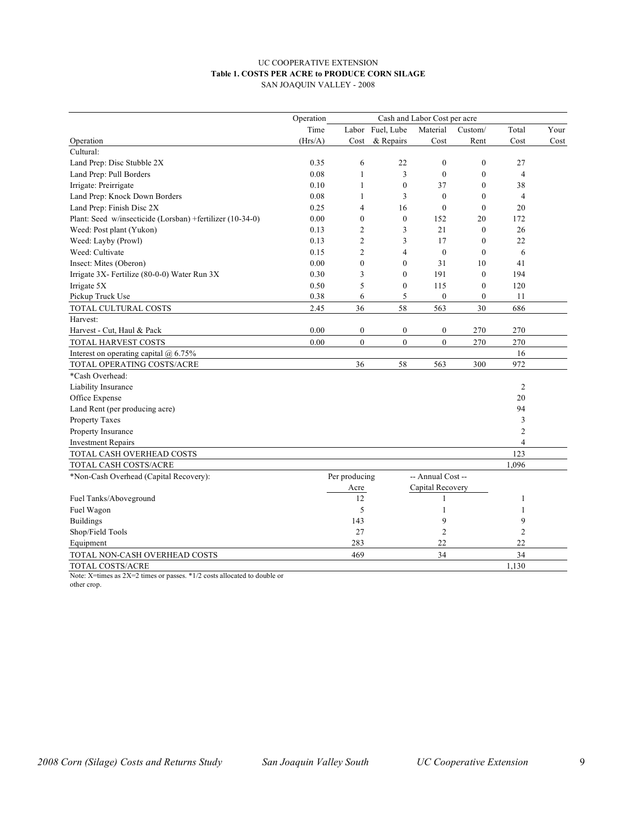#### UC COOPERATIVE EXTENSION **Table 1. COSTS PER ACRE to PRODUCE CORN SILAGE** SAN JOAQUIN VALLEY - 2008

|                                                           | Operation | Cash and Labor Cost per acre |                  |                   |                  |                          |      |
|-----------------------------------------------------------|-----------|------------------------------|------------------|-------------------|------------------|--------------------------|------|
|                                                           | Time      |                              | Labor Fuel, Lube | Material          | Custom/          | Total                    | Your |
| Operation                                                 | (Hrs/A)   | Cost                         | & Repairs        | Cost              | Rent             | Cost                     | Cost |
| Cultural:                                                 |           |                              |                  |                   |                  |                          |      |
| Land Prep: Disc Stubble 2X                                | 0.35      | 6                            | 22               | $\mathbf{0}$      | $\mathbf{0}$     | 27                       |      |
| Land Prep: Pull Borders                                   | 0.08      | 1                            | 3                | $\mathbf{0}$      | $\overline{0}$   | $\overline{\mathcal{L}}$ |      |
| Irrigate: Preirrigate                                     | 0.10      | 1                            | $\boldsymbol{0}$ | 37                | $\mathbf{0}$     | 38                       |      |
| Land Prep: Knock Down Borders                             | 0.08      | $\mathbf{1}$                 | 3                | $\mathbf{0}$      | $\mathbf{0}$     | $\overline{\mathcal{L}}$ |      |
| Land Prep: Finish Disc 2X                                 | 0.25      | $\overline{4}$               | 16               | $\theta$          | $\mathbf{0}$     | 20                       |      |
| Plant: Seed w/insecticide (Lorsban) +fertilizer (10-34-0) | 0.00      | $\mathbf{0}$                 | $\mathbf{0}$     | 152               | 20               | 172                      |      |
| Weed: Post plant (Yukon)                                  | 0.13      | 2                            | 3                | 21                | $\overline{0}$   | 26                       |      |
| Weed: Layby (Prowl)                                       | 0.13      | $\overline{c}$               | 3                | 17                | $\theta$         | 22                       |      |
| Weed: Cultivate                                           | 0.15      | $\overline{2}$               | 4                | $\boldsymbol{0}$  | $\mathbf{0}$     | 6                        |      |
| Insect: Mites (Oberon)                                    | 0.00      | $\mathbf{0}$                 | $\mathbf{0}$     | 31                | 10               | 41                       |      |
| Irrigate 3X- Fertilize (80-0-0) Water Run 3X              | 0.30      | 3                            | $\mathbf{0}$     | 191               | $\mathbf{0}$     | 194                      |      |
| Irrigate 5X                                               | 0.50      | 5                            | $\boldsymbol{0}$ | 115               | $\overline{0}$   | 120                      |      |
| Pickup Truck Use                                          | 0.38      | 6                            | 5                | $\boldsymbol{0}$  | $\boldsymbol{0}$ | 11                       |      |
| TOTAL CULTURAL COSTS                                      | 2.45      | 36                           | 58               | 563               | 30               | 686                      |      |
| Harvest:                                                  |           |                              |                  |                   |                  |                          |      |
| Harvest - Cut, Haul & Pack                                | 0.00      | $\boldsymbol{0}$             | $\boldsymbol{0}$ | $\boldsymbol{0}$  | 270              | 270                      |      |
| TOTAL HARVEST COSTS                                       | 0.00      | $\boldsymbol{0}$             | $\mathbf{0}$     | $\boldsymbol{0}$  | 270              | 270                      |      |
| Interest on operating capital $(a)$ 6.75%                 |           |                              |                  |                   |                  | 16                       |      |
| TOTAL OPERATING COSTS/ACRE                                |           | 36                           | 58               | 563               | 300              | 972                      |      |
| *Cash Overhead:                                           |           |                              |                  |                   |                  |                          |      |
| Liability Insurance                                       |           |                              |                  |                   |                  | $\mathfrak{2}$           |      |
| Office Expense                                            |           |                              |                  |                   |                  | 20                       |      |
| Land Rent (per producing acre)                            |           |                              |                  |                   |                  | 94                       |      |
| <b>Property Taxes</b>                                     |           |                              |                  |                   |                  | 3                        |      |
| Property Insurance                                        |           |                              |                  |                   |                  | 2                        |      |
| <b>Investment Repairs</b>                                 |           |                              |                  |                   |                  | $\overline{4}$           |      |
| TOTAL CASH OVERHEAD COSTS                                 |           |                              |                  |                   |                  | 123                      |      |
| TOTAL CASH COSTS/ACRE                                     |           |                              |                  |                   |                  | 1,096                    |      |
| *Non-Cash Overhead (Capital Recovery):                    |           | Per producing                |                  | -- Annual Cost -- |                  |                          |      |
|                                                           |           | Acre                         |                  | Capital Recovery  |                  |                          |      |
| Fuel Tanks/Aboveground                                    |           | 12                           |                  | 1                 |                  | 1                        |      |
| Fuel Wagon                                                |           | 5                            |                  | 1                 |                  | $\mathbf{1}$             |      |
| <b>Buildings</b>                                          |           | 143                          |                  | 9                 |                  | 9                        |      |
| Shop/Field Tools                                          |           | 27                           |                  | $\overline{2}$    |                  | 2                        |      |
| Equipment                                                 |           | 283                          |                  | 22                |                  | 22                       |      |
| TOTAL NON-CASH OVERHEAD COSTS                             |           | 469                          |                  | 34                |                  | 34                       |      |
| TOTAL COSTS/ACRE                                          |           |                              |                  |                   |                  | 1,130                    |      |

Note: X=times as 2X=2 times or passes. \*1/2 costs allocated to double or other crop.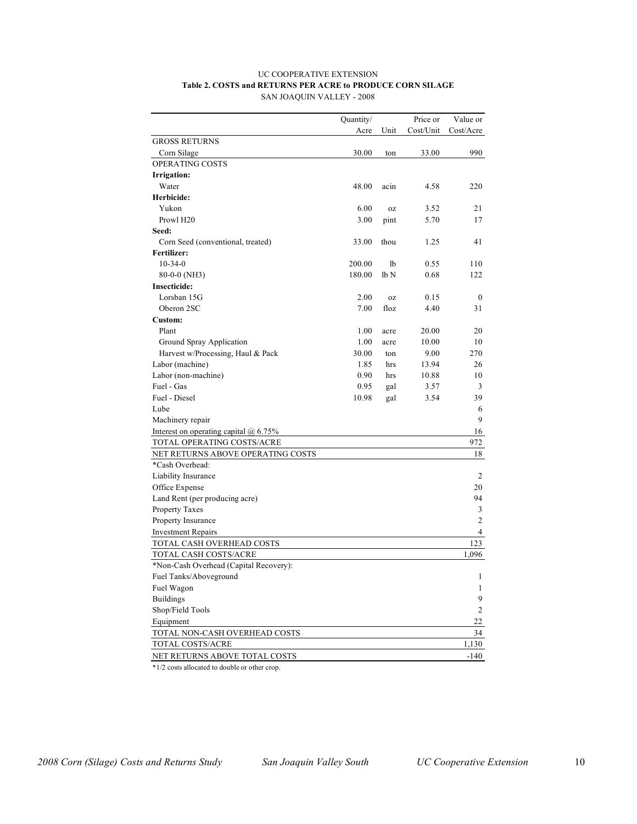#### UC COOPERATIVE EXTENSION **Table 2. COSTS and RETURNS PER ACRE to PRODUCE CORN SILAGE** SAN JOAQUIN VALLEY - 2008

| Cost/Unit<br>Cost/Acre<br>Acre<br>Unit<br><b>GROSS RETURNS</b><br>990<br>Corn Silage<br>30.00<br>33.00<br>ton<br>OPERATING COSTS<br>Irrigation:<br>Water<br>48.00<br>4.58<br>220<br>acin<br>Herbicide:<br>Yukon<br>6.00<br>21<br>3.52<br>0Z<br>Prowl H <sub>20</sub><br>3.00<br>5.70<br>pint<br>17<br>Seed:<br>33.00<br>thou<br>1.25<br>41<br>Corn Seed (conventional, treated)<br>Fertilizer:<br>$10 - 34 - 0$<br>200.00<br>1b<br>0.55<br>110<br>lb <sub>N</sub><br>80-0-0 (NH3)<br>180.00<br>0.68<br>122<br><b>Insecticide:</b><br>Lorsban 15G<br>2.00<br>0.15<br>$\mathbf{0}$<br>0Z<br>Oberon 2SC<br>7.00<br>floz<br>4.40<br>31<br>Custom:<br>Plant<br>1.00<br>20.00<br>20<br>acre<br>Ground Spray Application<br>1.00<br>10<br>10.00<br>acre<br>Harvest w/Processing, Haul & Pack<br>30.00<br>270<br>9.00<br>ton<br>Labor (machine)<br>1.85<br>13.94<br>26<br>hrs<br>Labor (non-machine)<br>0.90<br>hrs<br>10.88<br>10<br>Fuel - Gas<br>0.95<br>3.57<br>3<br>gal<br>Fuel - Diesel<br>10.98<br>3.54<br>39<br>gal<br>Lube<br>6<br>9<br>Machinery repair<br>Interest on operating capital $\omega$ 6.75%<br>16<br>TOTAL OPERATING COSTS/ACRE<br>972<br>NET RETURNS ABOVE OPERATING COSTS<br>18<br>*Cash Overhead:<br>Liability Insurance<br>2<br>Office Expense<br>20<br>Land Rent (per producing acre)<br>94<br>Property Taxes<br>3<br>2<br>Property Insurance<br><b>Investment Repairs</b><br>4<br>TOTAL CASH OVERHEAD COSTS<br>123<br>TOTAL CASH COSTS/ACRE<br>1,096<br>*Non-Cash Overhead (Capital Recovery):<br>Fuel Tanks/Aboveground<br>1<br>Fuel Wagon<br>$\mathbf{1}$<br>9<br><b>Buildings</b><br>Shop/Field Tools<br>$\overline{c}$<br>22<br>Equipment<br>TOTAL NON-CASH OVERHEAD COSTS<br>34<br>TOTAL COSTS/ACRE<br>1,130 |                               | Quantity/ | Price or | Value or |
|---------------------------------------------------------------------------------------------------------------------------------------------------------------------------------------------------------------------------------------------------------------------------------------------------------------------------------------------------------------------------------------------------------------------------------------------------------------------------------------------------------------------------------------------------------------------------------------------------------------------------------------------------------------------------------------------------------------------------------------------------------------------------------------------------------------------------------------------------------------------------------------------------------------------------------------------------------------------------------------------------------------------------------------------------------------------------------------------------------------------------------------------------------------------------------------------------------------------------------------------------------------------------------------------------------------------------------------------------------------------------------------------------------------------------------------------------------------------------------------------------------------------------------------------------------------------------------------------------------------------------------------------------------------------------------------------------------------------------------------|-------------------------------|-----------|----------|----------|
|                                                                                                                                                                                                                                                                                                                                                                                                                                                                                                                                                                                                                                                                                                                                                                                                                                                                                                                                                                                                                                                                                                                                                                                                                                                                                                                                                                                                                                                                                                                                                                                                                                                                                                                                       |                               |           |          |          |
|                                                                                                                                                                                                                                                                                                                                                                                                                                                                                                                                                                                                                                                                                                                                                                                                                                                                                                                                                                                                                                                                                                                                                                                                                                                                                                                                                                                                                                                                                                                                                                                                                                                                                                                                       |                               |           |          |          |
|                                                                                                                                                                                                                                                                                                                                                                                                                                                                                                                                                                                                                                                                                                                                                                                                                                                                                                                                                                                                                                                                                                                                                                                                                                                                                                                                                                                                                                                                                                                                                                                                                                                                                                                                       |                               |           |          |          |
|                                                                                                                                                                                                                                                                                                                                                                                                                                                                                                                                                                                                                                                                                                                                                                                                                                                                                                                                                                                                                                                                                                                                                                                                                                                                                                                                                                                                                                                                                                                                                                                                                                                                                                                                       |                               |           |          |          |
|                                                                                                                                                                                                                                                                                                                                                                                                                                                                                                                                                                                                                                                                                                                                                                                                                                                                                                                                                                                                                                                                                                                                                                                                                                                                                                                                                                                                                                                                                                                                                                                                                                                                                                                                       |                               |           |          |          |
|                                                                                                                                                                                                                                                                                                                                                                                                                                                                                                                                                                                                                                                                                                                                                                                                                                                                                                                                                                                                                                                                                                                                                                                                                                                                                                                                                                                                                                                                                                                                                                                                                                                                                                                                       |                               |           |          |          |
|                                                                                                                                                                                                                                                                                                                                                                                                                                                                                                                                                                                                                                                                                                                                                                                                                                                                                                                                                                                                                                                                                                                                                                                                                                                                                                                                                                                                                                                                                                                                                                                                                                                                                                                                       |                               |           |          |          |
|                                                                                                                                                                                                                                                                                                                                                                                                                                                                                                                                                                                                                                                                                                                                                                                                                                                                                                                                                                                                                                                                                                                                                                                                                                                                                                                                                                                                                                                                                                                                                                                                                                                                                                                                       |                               |           |          |          |
|                                                                                                                                                                                                                                                                                                                                                                                                                                                                                                                                                                                                                                                                                                                                                                                                                                                                                                                                                                                                                                                                                                                                                                                                                                                                                                                                                                                                                                                                                                                                                                                                                                                                                                                                       |                               |           |          |          |
|                                                                                                                                                                                                                                                                                                                                                                                                                                                                                                                                                                                                                                                                                                                                                                                                                                                                                                                                                                                                                                                                                                                                                                                                                                                                                                                                                                                                                                                                                                                                                                                                                                                                                                                                       |                               |           |          |          |
|                                                                                                                                                                                                                                                                                                                                                                                                                                                                                                                                                                                                                                                                                                                                                                                                                                                                                                                                                                                                                                                                                                                                                                                                                                                                                                                                                                                                                                                                                                                                                                                                                                                                                                                                       |                               |           |          |          |
|                                                                                                                                                                                                                                                                                                                                                                                                                                                                                                                                                                                                                                                                                                                                                                                                                                                                                                                                                                                                                                                                                                                                                                                                                                                                                                                                                                                                                                                                                                                                                                                                                                                                                                                                       |                               |           |          |          |
|                                                                                                                                                                                                                                                                                                                                                                                                                                                                                                                                                                                                                                                                                                                                                                                                                                                                                                                                                                                                                                                                                                                                                                                                                                                                                                                                                                                                                                                                                                                                                                                                                                                                                                                                       |                               |           |          |          |
|                                                                                                                                                                                                                                                                                                                                                                                                                                                                                                                                                                                                                                                                                                                                                                                                                                                                                                                                                                                                                                                                                                                                                                                                                                                                                                                                                                                                                                                                                                                                                                                                                                                                                                                                       |                               |           |          |          |
|                                                                                                                                                                                                                                                                                                                                                                                                                                                                                                                                                                                                                                                                                                                                                                                                                                                                                                                                                                                                                                                                                                                                                                                                                                                                                                                                                                                                                                                                                                                                                                                                                                                                                                                                       |                               |           |          |          |
|                                                                                                                                                                                                                                                                                                                                                                                                                                                                                                                                                                                                                                                                                                                                                                                                                                                                                                                                                                                                                                                                                                                                                                                                                                                                                                                                                                                                                                                                                                                                                                                                                                                                                                                                       |                               |           |          |          |
|                                                                                                                                                                                                                                                                                                                                                                                                                                                                                                                                                                                                                                                                                                                                                                                                                                                                                                                                                                                                                                                                                                                                                                                                                                                                                                                                                                                                                                                                                                                                                                                                                                                                                                                                       |                               |           |          |          |
|                                                                                                                                                                                                                                                                                                                                                                                                                                                                                                                                                                                                                                                                                                                                                                                                                                                                                                                                                                                                                                                                                                                                                                                                                                                                                                                                                                                                                                                                                                                                                                                                                                                                                                                                       |                               |           |          |          |
|                                                                                                                                                                                                                                                                                                                                                                                                                                                                                                                                                                                                                                                                                                                                                                                                                                                                                                                                                                                                                                                                                                                                                                                                                                                                                                                                                                                                                                                                                                                                                                                                                                                                                                                                       |                               |           |          |          |
|                                                                                                                                                                                                                                                                                                                                                                                                                                                                                                                                                                                                                                                                                                                                                                                                                                                                                                                                                                                                                                                                                                                                                                                                                                                                                                                                                                                                                                                                                                                                                                                                                                                                                                                                       |                               |           |          |          |
|                                                                                                                                                                                                                                                                                                                                                                                                                                                                                                                                                                                                                                                                                                                                                                                                                                                                                                                                                                                                                                                                                                                                                                                                                                                                                                                                                                                                                                                                                                                                                                                                                                                                                                                                       |                               |           |          |          |
|                                                                                                                                                                                                                                                                                                                                                                                                                                                                                                                                                                                                                                                                                                                                                                                                                                                                                                                                                                                                                                                                                                                                                                                                                                                                                                                                                                                                                                                                                                                                                                                                                                                                                                                                       |                               |           |          |          |
|                                                                                                                                                                                                                                                                                                                                                                                                                                                                                                                                                                                                                                                                                                                                                                                                                                                                                                                                                                                                                                                                                                                                                                                                                                                                                                                                                                                                                                                                                                                                                                                                                                                                                                                                       |                               |           |          |          |
|                                                                                                                                                                                                                                                                                                                                                                                                                                                                                                                                                                                                                                                                                                                                                                                                                                                                                                                                                                                                                                                                                                                                                                                                                                                                                                                                                                                                                                                                                                                                                                                                                                                                                                                                       |                               |           |          |          |
|                                                                                                                                                                                                                                                                                                                                                                                                                                                                                                                                                                                                                                                                                                                                                                                                                                                                                                                                                                                                                                                                                                                                                                                                                                                                                                                                                                                                                                                                                                                                                                                                                                                                                                                                       |                               |           |          |          |
|                                                                                                                                                                                                                                                                                                                                                                                                                                                                                                                                                                                                                                                                                                                                                                                                                                                                                                                                                                                                                                                                                                                                                                                                                                                                                                                                                                                                                                                                                                                                                                                                                                                                                                                                       |                               |           |          |          |
|                                                                                                                                                                                                                                                                                                                                                                                                                                                                                                                                                                                                                                                                                                                                                                                                                                                                                                                                                                                                                                                                                                                                                                                                                                                                                                                                                                                                                                                                                                                                                                                                                                                                                                                                       |                               |           |          |          |
|                                                                                                                                                                                                                                                                                                                                                                                                                                                                                                                                                                                                                                                                                                                                                                                                                                                                                                                                                                                                                                                                                                                                                                                                                                                                                                                                                                                                                                                                                                                                                                                                                                                                                                                                       |                               |           |          |          |
|                                                                                                                                                                                                                                                                                                                                                                                                                                                                                                                                                                                                                                                                                                                                                                                                                                                                                                                                                                                                                                                                                                                                                                                                                                                                                                                                                                                                                                                                                                                                                                                                                                                                                                                                       |                               |           |          |          |
|                                                                                                                                                                                                                                                                                                                                                                                                                                                                                                                                                                                                                                                                                                                                                                                                                                                                                                                                                                                                                                                                                                                                                                                                                                                                                                                                                                                                                                                                                                                                                                                                                                                                                                                                       |                               |           |          |          |
|                                                                                                                                                                                                                                                                                                                                                                                                                                                                                                                                                                                                                                                                                                                                                                                                                                                                                                                                                                                                                                                                                                                                                                                                                                                                                                                                                                                                                                                                                                                                                                                                                                                                                                                                       |                               |           |          |          |
|                                                                                                                                                                                                                                                                                                                                                                                                                                                                                                                                                                                                                                                                                                                                                                                                                                                                                                                                                                                                                                                                                                                                                                                                                                                                                                                                                                                                                                                                                                                                                                                                                                                                                                                                       |                               |           |          |          |
|                                                                                                                                                                                                                                                                                                                                                                                                                                                                                                                                                                                                                                                                                                                                                                                                                                                                                                                                                                                                                                                                                                                                                                                                                                                                                                                                                                                                                                                                                                                                                                                                                                                                                                                                       |                               |           |          |          |
|                                                                                                                                                                                                                                                                                                                                                                                                                                                                                                                                                                                                                                                                                                                                                                                                                                                                                                                                                                                                                                                                                                                                                                                                                                                                                                                                                                                                                                                                                                                                                                                                                                                                                                                                       |                               |           |          |          |
|                                                                                                                                                                                                                                                                                                                                                                                                                                                                                                                                                                                                                                                                                                                                                                                                                                                                                                                                                                                                                                                                                                                                                                                                                                                                                                                                                                                                                                                                                                                                                                                                                                                                                                                                       |                               |           |          |          |
|                                                                                                                                                                                                                                                                                                                                                                                                                                                                                                                                                                                                                                                                                                                                                                                                                                                                                                                                                                                                                                                                                                                                                                                                                                                                                                                                                                                                                                                                                                                                                                                                                                                                                                                                       |                               |           |          |          |
|                                                                                                                                                                                                                                                                                                                                                                                                                                                                                                                                                                                                                                                                                                                                                                                                                                                                                                                                                                                                                                                                                                                                                                                                                                                                                                                                                                                                                                                                                                                                                                                                                                                                                                                                       |                               |           |          |          |
|                                                                                                                                                                                                                                                                                                                                                                                                                                                                                                                                                                                                                                                                                                                                                                                                                                                                                                                                                                                                                                                                                                                                                                                                                                                                                                                                                                                                                                                                                                                                                                                                                                                                                                                                       |                               |           |          |          |
|                                                                                                                                                                                                                                                                                                                                                                                                                                                                                                                                                                                                                                                                                                                                                                                                                                                                                                                                                                                                                                                                                                                                                                                                                                                                                                                                                                                                                                                                                                                                                                                                                                                                                                                                       |                               |           |          |          |
|                                                                                                                                                                                                                                                                                                                                                                                                                                                                                                                                                                                                                                                                                                                                                                                                                                                                                                                                                                                                                                                                                                                                                                                                                                                                                                                                                                                                                                                                                                                                                                                                                                                                                                                                       |                               |           |          |          |
|                                                                                                                                                                                                                                                                                                                                                                                                                                                                                                                                                                                                                                                                                                                                                                                                                                                                                                                                                                                                                                                                                                                                                                                                                                                                                                                                                                                                                                                                                                                                                                                                                                                                                                                                       |                               |           |          |          |
|                                                                                                                                                                                                                                                                                                                                                                                                                                                                                                                                                                                                                                                                                                                                                                                                                                                                                                                                                                                                                                                                                                                                                                                                                                                                                                                                                                                                                                                                                                                                                                                                                                                                                                                                       |                               |           |          |          |
|                                                                                                                                                                                                                                                                                                                                                                                                                                                                                                                                                                                                                                                                                                                                                                                                                                                                                                                                                                                                                                                                                                                                                                                                                                                                                                                                                                                                                                                                                                                                                                                                                                                                                                                                       |                               |           |          |          |
|                                                                                                                                                                                                                                                                                                                                                                                                                                                                                                                                                                                                                                                                                                                                                                                                                                                                                                                                                                                                                                                                                                                                                                                                                                                                                                                                                                                                                                                                                                                                                                                                                                                                                                                                       |                               |           |          |          |
|                                                                                                                                                                                                                                                                                                                                                                                                                                                                                                                                                                                                                                                                                                                                                                                                                                                                                                                                                                                                                                                                                                                                                                                                                                                                                                                                                                                                                                                                                                                                                                                                                                                                                                                                       |                               |           |          |          |
|                                                                                                                                                                                                                                                                                                                                                                                                                                                                                                                                                                                                                                                                                                                                                                                                                                                                                                                                                                                                                                                                                                                                                                                                                                                                                                                                                                                                                                                                                                                                                                                                                                                                                                                                       |                               |           |          |          |
|                                                                                                                                                                                                                                                                                                                                                                                                                                                                                                                                                                                                                                                                                                                                                                                                                                                                                                                                                                                                                                                                                                                                                                                                                                                                                                                                                                                                                                                                                                                                                                                                                                                                                                                                       |                               |           |          |          |
|                                                                                                                                                                                                                                                                                                                                                                                                                                                                                                                                                                                                                                                                                                                                                                                                                                                                                                                                                                                                                                                                                                                                                                                                                                                                                                                                                                                                                                                                                                                                                                                                                                                                                                                                       | NET RETURNS ABOVE TOTAL COSTS |           |          | $-140$   |

\*1/2 costs allocated to double or other crop.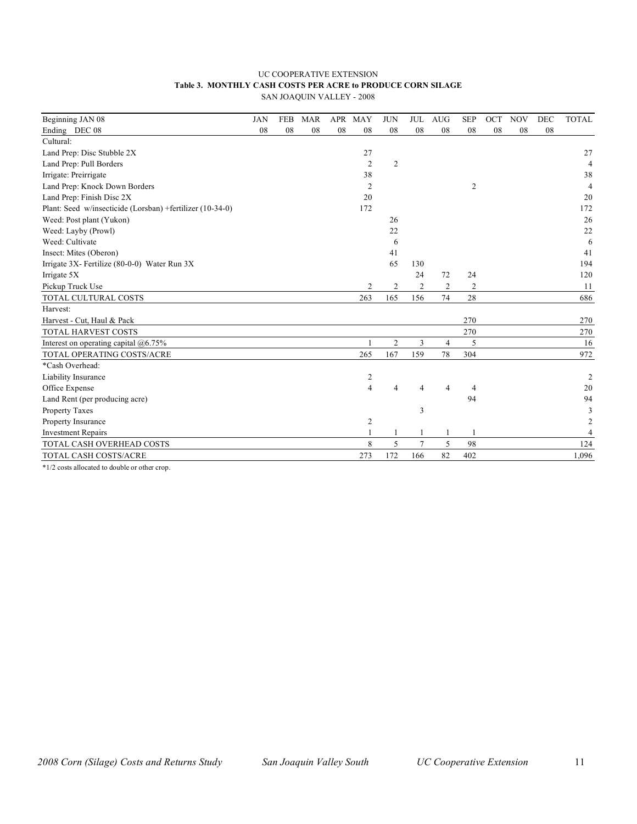#### UC COOPERATIVE EXTENSION **Table 3. MONTHLY CASH COSTS PER ACRE to PRODUCE CORN SILAGE** SAN JOAQUIN VALLEY - 2008

| Beginning JAN 08                                          | <b>JAN</b> | <b>FEB</b> | <b>MAR</b> | <b>APR</b> | MAY            | <b>JUN</b>     | <b>JUL</b> | <b>AUG</b>     | <b>SEP</b>     | OCT | <b>NOV</b> | DEC | <b>TOTAL</b>   |
|-----------------------------------------------------------|------------|------------|------------|------------|----------------|----------------|------------|----------------|----------------|-----|------------|-----|----------------|
| Ending DEC 08                                             | 08         | 08         | 08         | 08         | 08             | 08             | 08         | 08             | 08             | 08  | 08         | 08  |                |
| Cultural:                                                 |            |            |            |            |                |                |            |                |                |     |            |     |                |
| Land Prep: Disc Stubble 2X                                |            |            |            |            | 27             |                |            |                |                |     |            |     | 27             |
| Land Prep: Pull Borders                                   |            |            |            |            | $\overline{2}$ | 2              |            |                |                |     |            |     | 4              |
| Irrigate: Preirrigate                                     |            |            |            |            | 38             |                |            |                |                |     |            |     | 38             |
| Land Prep: Knock Down Borders                             |            |            |            |            | 2              |                |            |                | 2              |     |            |     | $\overline{4}$ |
| Land Prep: Finish Disc 2X                                 |            |            |            |            | 20             |                |            |                |                |     |            |     | 20             |
| Plant: Seed w/insecticide (Lorsban) +fertilizer (10-34-0) |            |            |            |            | 172            |                |            |                |                |     |            |     | 172            |
| Weed: Post plant (Yukon)                                  |            |            |            |            |                | 26             |            |                |                |     |            |     | 26             |
| Weed: Layby (Prowl)                                       |            |            |            |            |                | 22             |            |                |                |     |            |     | 22             |
| Weed: Cultivate                                           |            |            |            |            |                | 6              |            |                |                |     |            |     | 6              |
| Insect: Mites (Oberon)                                    |            |            |            |            |                | 41             |            |                |                |     |            |     | 41             |
| Irrigate 3X- Fertilize (80-0-0) Water Run 3X              |            |            |            |            |                | 65             | 130        |                |                |     |            |     | 194            |
| Irrigate 5X                                               |            |            |            |            |                |                | 24         | 72             | 24             |     |            |     | 120            |
| Pickup Truck Use                                          |            |            |            |            | 2              | 2              | 2          | $\overline{c}$ | $\overline{c}$ |     |            |     | 11             |
| TOTAL CULTURAL COSTS                                      |            |            |            |            | 263            | 165            | 156        | 74             | 28             |     |            |     | 686            |
| Harvest:                                                  |            |            |            |            |                |                |            |                |                |     |            |     |                |
| Harvest - Cut, Haul & Pack                                |            |            |            |            |                |                |            |                | 270            |     |            |     | 270            |
| TOTAL HARVEST COSTS                                       |            |            |            |            |                |                |            |                | 270            |     |            |     | 270            |
| Interest on operating capital @6.75%                      |            |            |            |            |                | $\overline{c}$ | 3          | $\overline{4}$ | 5              |     |            |     | 16             |
| TOTAL OPERATING COSTS/ACRE                                |            |            |            |            | 265            | 167            | 159        | 78             | 304            |     |            |     | 972            |
| *Cash Overhead:                                           |            |            |            |            |                |                |            |                |                |     |            |     |                |
| Liability Insurance                                       |            |            |            |            | 2              |                |            |                |                |     |            |     | $\overline{2}$ |
| Office Expense                                            |            |            |            |            | $\overline{4}$ |                |            | 4              | 4              |     |            |     | 20             |
| Land Rent (per producing acre)                            |            |            |            |            |                |                |            |                | 94             |     |            |     | 94             |
| Property Taxes                                            |            |            |            |            |                |                | 3          |                |                |     |            |     | 3              |
| Property Insurance                                        |            |            |            |            | 2              |                |            |                |                |     |            |     | $\overline{2}$ |
| <b>Investment Repairs</b>                                 |            |            |            |            |                |                |            |                |                |     |            |     | $\overline{4}$ |
| TOTAL CASH OVERHEAD COSTS                                 |            |            |            |            | 8              | 5              |            | 5              | 98             |     |            |     | 124            |
| TOTAL CASH COSTS/ACRE                                     |            |            |            |            | 273            | 172            | 166        | 82             | 402            |     |            |     | 1,096          |

\*1/2 costs allocated to double or other crop.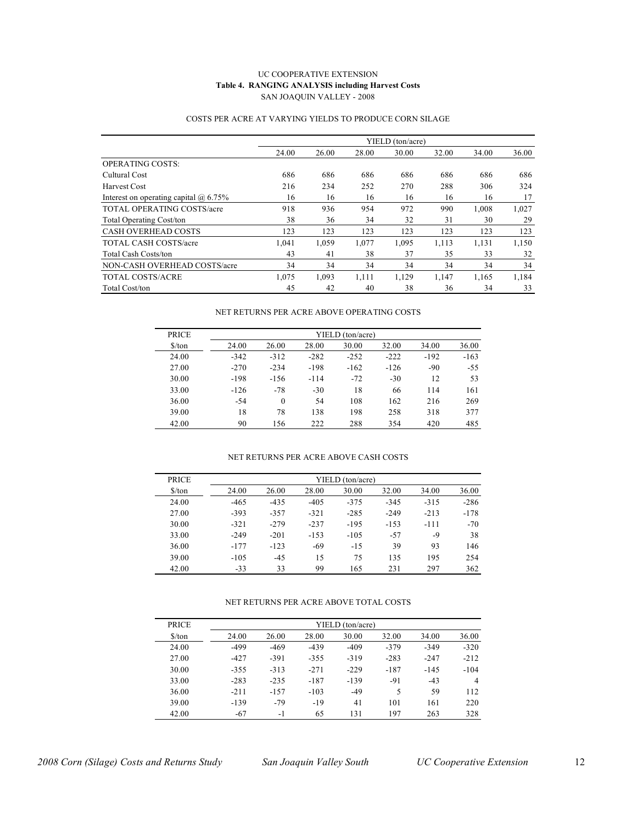#### UC COOPERATIVE EXTENSION **Table 4. RANGING ANALYSIS including Harvest Costs** SAN JOAQUIN VALLEY - 2008

|                                              |       |       |       | YIELD (ton/acre) |       |       |       |
|----------------------------------------------|-------|-------|-------|------------------|-------|-------|-------|
|                                              | 24.00 | 26.00 | 28.00 | 30.00            | 32.00 | 34.00 | 36.00 |
| <b>OPERATING COSTS:</b>                      |       |       |       |                  |       |       |       |
| Cultural Cost                                | 686   | 686   | 686   | 686              | 686   | 686   | 686   |
| Harvest Cost                                 | 216   | 234   | 252   | 270              | 288   | 306   | 324   |
| Interest on operating capital $\omega$ 6.75% | 16    | 16    | 16    | 16               | 16    | 16    | 17    |
| <b>TOTAL OPERATING COSTS/acre</b>            | 918   | 936   | 954   | 972              | 990   | 1,008 | 1,027 |
| <b>Total Operating Cost/ton</b>              | 38    | 36    | 34    | 32               | 31    | 30    | 29    |
| <b>CASH OVERHEAD COSTS</b>                   | 123   | 123   | 123   | 123              | 123   | 123   | 123   |
| <b>TOTAL CASH COSTS/acre</b>                 | .041  | 1,059 | 1,077 | 1,095            | 1,113 | 1,131 | 1,150 |
| <b>Total Cash Costs/ton</b>                  | 43    | 41    | 38    | 37               | 35    | 33    | 32    |
| NON-CASH OVERHEAD COSTS/acre                 | 34    | 34    | 34    | 34               | 34    | 34    | 34    |
| <b>TOTAL COSTS/ACRE</b>                      | 1,075 | 1,093 | 1,111 | 1,129            | 1,147 | 1,165 | 1.184 |
| Total Cost/ton                               | 45    | 42    | 40    | 38               | 36    | 34    | 33    |

#### COSTS PER ACRE AT VARYING YIELDS TO PRODUCE CORN SILAGE

#### NET RETURNS PER ACRE ABOVE OPERATING COSTS

| <b>PRICE</b>                  |        | YIELD (ton/acre) |        |        |        |        |        |  |  |  |  |  |
|-------------------------------|--------|------------------|--------|--------|--------|--------|--------|--|--|--|--|--|
| $\frac{\text{S}}{\text{ton}}$ | 24.00  | 26.00            | 28.00  | 30.00  | 32.00  | 34.00  | 36.00  |  |  |  |  |  |
| 24.00                         | $-342$ | $-312$           | $-282$ | $-252$ | $-222$ | $-192$ | $-163$ |  |  |  |  |  |
| 27.00                         | $-270$ | $-234$           | $-198$ | $-162$ | $-126$ | $-90$  | $-55$  |  |  |  |  |  |
| 30.00                         | $-198$ | $-156$           | $-114$ | $-72$  | $-30$  | 12     | 53     |  |  |  |  |  |
| 33.00                         | $-126$ | $-78$            | $-30$  | 18     | 66     | 114    | 161    |  |  |  |  |  |
| 36.00                         | $-54$  | $\theta$         | 54     | 108    | 162    | 216    | 269    |  |  |  |  |  |
| 39.00                         | 18     | 78               | 138    | 198    | 258    | 318    | 377    |  |  |  |  |  |
| 42.00                         | 90     | 156              | 222    | 288    | 354    | 420    | 485    |  |  |  |  |  |

#### NET RETURNS PER ACRE ABOVE CASH COSTS

| <b>PRICE</b>                  |        |        |        | YIELD (ton/acre) |        |        |        |
|-------------------------------|--------|--------|--------|------------------|--------|--------|--------|
| $\frac{\text{S}}{\text{ton}}$ | 24.00  | 26.00  | 28.00  | 30.00            | 32.00  | 34.00  | 36.00  |
| 24.00                         | $-465$ | $-435$ | $-405$ | $-375$           | $-345$ | $-315$ | $-286$ |
| 27.00                         | $-393$ | $-357$ | $-321$ | $-285$           | $-249$ | $-213$ | $-178$ |
| 30.00                         | $-321$ | $-279$ | $-237$ | $-195$           | $-153$ | $-111$ | $-70$  |
| 33.00                         | $-249$ | $-201$ | $-153$ | $-105$           | $-57$  | -9     | 38     |
| 36.00                         | $-177$ | $-123$ | $-69$  | $-1.5$           | 39     | 93     | 146    |
| 39.00                         | $-105$ | $-4.5$ | 15     | 75               | 135    | 195    | 254    |
| 42.00                         | $-33$  | 33     | 99     | 165              | 231    | 297    | 362    |

#### NET RETURNS PER ACRE ABOVE TOTAL COSTS

| <b>PRICE</b>                  | YIELD (ton/acre) |        |        |        |        |        |                |  |  |  |  |  |
|-------------------------------|------------------|--------|--------|--------|--------|--------|----------------|--|--|--|--|--|
| $\frac{\text{S}}{\text{ton}}$ | 24.00            | 26.00  | 28.00  | 30.00  | 32.00  | 34.00  | 36.00          |  |  |  |  |  |
| 24.00                         | $-499$           | $-469$ | $-439$ | $-409$ | $-379$ | $-349$ | $-320$         |  |  |  |  |  |
| 27.00                         | $-427$           | $-391$ | $-355$ | $-319$ | $-283$ | $-247$ | $-212$         |  |  |  |  |  |
| 30.00                         | $-355$           | $-313$ | $-271$ | $-229$ | $-187$ | $-145$ | $-104$         |  |  |  |  |  |
| 33.00                         | $-283$           | $-235$ | $-187$ | $-139$ | $-91$  | $-43$  | $\overline{4}$ |  |  |  |  |  |
| 36.00                         | $-211$           | $-157$ | $-103$ | $-49$  | 5      | 59     | 112            |  |  |  |  |  |
| 39.00                         | $-139$           | $-79$  | $-19$  | 41     | 101    | 161    | 220            |  |  |  |  |  |
| 42.00                         | $-67$            | $-1$   | 65     | 131    | 197    | 263    | 328            |  |  |  |  |  |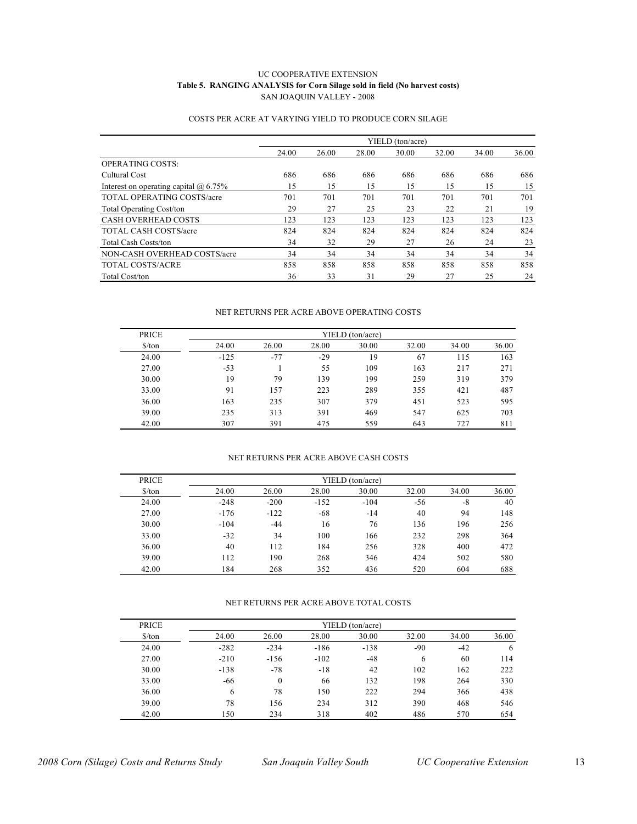#### UC COOPERATIVE EXTENSION **Table 5. RANGING ANALYSIS for Corn Silage sold in field (No harvest costs)** SAN JOAQUIN VALLEY - 2008

|                                           |       |       |       | YIELD (ton/acre) |       |       |       |
|-------------------------------------------|-------|-------|-------|------------------|-------|-------|-------|
|                                           | 24.00 | 26.00 | 28.00 | 30.00            | 32.00 | 34.00 | 36.00 |
| <b>OPERATING COSTS:</b>                   |       |       |       |                  |       |       |       |
| Cultural Cost                             | 686   | 686   | 686   | 686              | 686   | 686   | 686   |
| Interest on operating capital $(a)$ 6.75% | 15    | 15    | 15    | 15               | 15    | 15    | 15    |
| <b>TOTAL OPERATING COSTS/acre</b>         | 701   | 701   | 701   | 701              | 701   | 701   | 701   |
| <b>Total Operating Cost/ton</b>           | 29    | 27    | 25    | 23               | 22    | 21    | 19    |
| <b>CASH OVERHEAD COSTS</b>                | 123   | 123   | 123   | 123              | 123   | 123   | 123   |
| <b>TOTAL CASH COSTS/acre</b>              | 824   | 824   | 824   | 824              | 824   | 824   | 824   |
| <b>Total Cash Costs/ton</b>               | 34    | 32    | 29    | 27               | 26    | 24    | 23    |
| NON-CASH OVERHEAD COSTS/acre              | 34    | 34    | 34    | 34               | 34    | 34    | 34    |
| <b>TOTAL COSTS/ACRE</b>                   | 858   | 858   | 858   | 858              | 858   | 858   | 858   |
| Total Cost/ton                            | 36    | 33    | 31    | 29               | 27    | 25    | 24    |

#### COSTS PER ACRE AT VARYING YIELD TO PRODUCE CORN SILAGE

#### NET RETURNS PER ACRE ABOVE OPERATING COSTS

| <b>PRICE</b>         | YIELD (ton/acre) |       |       |       |       |       |       |  |  |  |  |
|----------------------|------------------|-------|-------|-------|-------|-------|-------|--|--|--|--|
| $\frac{\sqrt{2}}{2}$ | 24.00            | 26.00 | 28.00 | 30.00 | 32.00 | 34.00 | 36.00 |  |  |  |  |
| 24.00                | $-125$           | $-77$ | $-29$ | 19    | 67    | 115   | 163   |  |  |  |  |
| 27.00                | $-53$            |       | 55    | 109   | 163   | 217   | 271   |  |  |  |  |
| 30.00                | 19               | 79    | 139   | 199   | 259   | 319   | 379   |  |  |  |  |
| 33.00                | 91               | 157   | 223   | 289   | 355   | 421   | 487   |  |  |  |  |
| 36.00                | 163              | 235   | 307   | 379   | 451   | 523   | 595   |  |  |  |  |
| 39.00                | 235              | 313   | 391   | 469   | 547   | 625   | 703   |  |  |  |  |
| 42.00                | 307              | 391   | 475   | 559   | 643   | 727   | 811   |  |  |  |  |

#### NET RETURNS PER ACRE ABOVE CASH COSTS

| <b>PRICE</b>                  | YIELD (ton/acre) |        |        |        |       |       |       |  |  |  |  |
|-------------------------------|------------------|--------|--------|--------|-------|-------|-------|--|--|--|--|
| $\frac{\text{S}}{\text{ton}}$ | 24.00            | 26.00  | 28.00  | 30.00  | 32.00 | 34.00 | 36.00 |  |  |  |  |
| 24.00                         | $-248$           | $-200$ | $-152$ | $-104$ | $-56$ | $-8$  | 40    |  |  |  |  |
| 27.00                         | $-176$           | $-122$ | $-68$  | $-14$  | 40    | 94    | 148   |  |  |  |  |
| 30.00                         | $-104$           | $-44$  | 16     | 76     | 136   | 196   | 256   |  |  |  |  |
| 33.00                         | $-32$            | 34     | 100    | 166    | 232   | 298   | 364   |  |  |  |  |
| 36.00                         | 40               | 112    | 184    | 256    | 328   | 400   | 472   |  |  |  |  |
| 39.00                         | 112              | 190    | 268    | 346    | 424   | 502   | 580   |  |  |  |  |
| 42.00                         | 184              | 268    | 352    | 436    | 520   | 604   | 688   |  |  |  |  |

#### NET RETURNS PER ACRE ABOVE TOTAL COSTS

| <b>PRICE</b>                  | YIELD (ton/acre) |              |        |        |       |       |       |  |  |
|-------------------------------|------------------|--------------|--------|--------|-------|-------|-------|--|--|
| $\frac{\text{S}}{\text{ton}}$ | 24.00            | 26.00        | 28.00  | 30.00  | 32.00 | 34.00 | 36.00 |  |  |
| 24.00                         | $-282$           | $-234$       | $-186$ | $-138$ | -90   | $-42$ | 6     |  |  |
| 27.00                         | $-210$           | $-156$       | $-102$ | $-48$  | 6     | 60    | 114   |  |  |
| 30.00                         | $-138$           | $-78$        | $-18$  | 42     | 102   | 162   | 222   |  |  |
| 33.00                         | -66              | $\mathbf{0}$ | 66     | 132    | 198   | 264   | 330   |  |  |
| 36.00                         | 6                | 78           | 150    | 222    | 294   | 366   | 438   |  |  |
| 39.00                         | 78               | 156          | 234    | 312    | 390   | 468   | 546   |  |  |
| 42.00                         | 150              | 234          | 318    | 402    | 486   | 570   | 654   |  |  |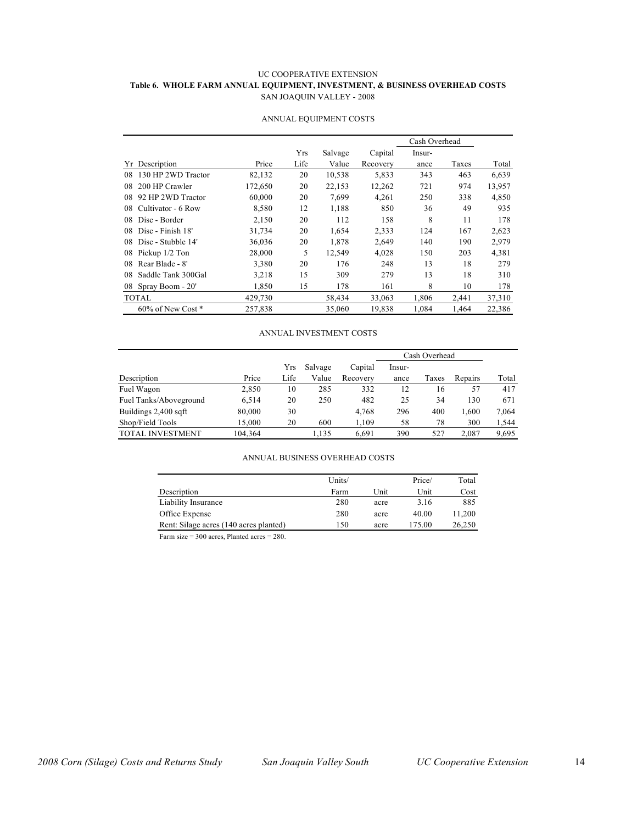#### UC COOPERATIVE EXTENSION **Table 6. WHOLE FARM ANNUAL EQUIPMENT, INVESTMENT, & BUSINESS OVERHEAD COSTS** SAN JOAQUIN VALLEY - 2008

|                          |         |      |         |          | Cash Overhead |       |        |
|--------------------------|---------|------|---------|----------|---------------|-------|--------|
|                          |         | Yrs  | Salvage | Capital  | Insur-        |       |        |
| Yr Description           | Price   | Life | Value   | Recovery | ance          | Taxes | Total  |
| 130 HP 2WD Tractor<br>08 | 82,132  | 20   | 10,538  | 5,833    | 343           | 463   | 6,639  |
| 200 HP Crawler<br>08     | 172,650 | 20   | 22,153  | 12,262   | 721           | 974   | 13,957 |
| 92 HP 2WD Tractor<br>08  | 60,000  | 20   | 7.699   | 4.261    | 250           | 338   | 4,850  |
| 08<br>Cultivator - 6 Row | 8,580   | 12   | 1,188   | 850      | 36            | 49    | 935    |
| Disc - Border<br>08      | 2,150   | 20   | 112     | 158      | 8             | 11    | 178    |
| Disc - Finish 18'<br>08  | 31,734  | 20   | 1,654   | 2,333    | 124           | 167   | 2,623  |
| Disc - Stubble 14'<br>08 | 36,036  | 20   | 1.878   | 2.649    | 140           | 190   | 2,979  |
| Pickup 1/2 Ton<br>08     | 28,000  | 5    | 12,549  | 4,028    | 150           | 203   | 4,381  |
| Rear Blade - 8'<br>08    | 3,380   | 20   | 176     | 248      | 13            | 18    | 279    |
| Saddle Tank 300Gal<br>08 | 3,218   | 15   | 309     | 279      | 13            | 18    | 310    |
| Spray Boom - 20'<br>08   | 1,850   | 15   | 178     | 161      | 8             | 10    | 178    |
| <b>TOTAL</b>             | 429,730 |      | 58,434  | 33,063   | 1,806         | 2,441 | 37,310 |
| $60\%$ of New Cost $*$   | 257,838 |      | 35,060  | 19,838   | 1.084         | 1,464 | 22,386 |

#### ANNUAL EQUIPMENT COSTS

#### ANNUAL INVESTMENT COSTS

|                         |         |      |         |          | Cash Overhead |       |         |       |
|-------------------------|---------|------|---------|----------|---------------|-------|---------|-------|
|                         |         | Yrs  | Salvage | Capital  | Insur-        |       |         |       |
| Description             | Price   | Life | Value   | Recovery | ance          | Taxes | Repairs | Total |
| Fuel Wagon              | 2,850   | 10   | 285     | 332      | 12            | 16    | 57      | 417   |
| Fuel Tanks/Aboveground  | 6.514   | 20   | 250     | 482      | 25            | 34    | 130     | 671   |
| Buildings 2,400 sqft    | 80,000  | 30   |         | 4,768    | 296           | 400   | 1,600   | 7,064 |
| Shop/Field Tools        | 15.000  | 20   | 600     | 1,109    | 58            | 78    | 300     | 1,544 |
| <b>TOTAL INVESTMENT</b> | 104,364 |      | 1,135   | 6,691    | 390           | 527   | 2.087   | 9,695 |

#### ANNUAL BUSINESS OVERHEAD COSTS

|                                        | Units/ |      | Price/ | Total  |
|----------------------------------------|--------|------|--------|--------|
| Description                            | Farm   | Unit | Unit   | Cost   |
| Liability Insurance                    | 280    | acre | 3.16   | 885    |
| Office Expense                         | 280    | acre | 40.00  | 11.200 |
| Rent: Silage acres (140 acres planted) | 150    | acre | 175.00 | 26,250 |

Farm size = 300 acres, Planted acres = 280.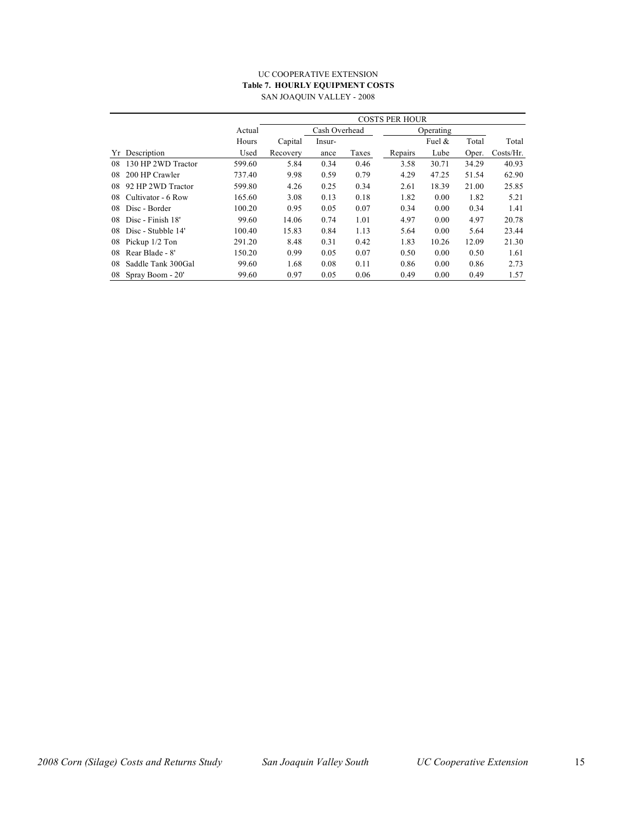#### UC COOPERATIVE EXTENSION **Table 7. HOURLY EQUIPMENT COSTS** SAN JOAQUIN VALLEY - 2008

|    |                    |        | <b>COSTS PER HOUR</b> |        |           |         |        |       |           |
|----|--------------------|--------|-----------------------|--------|-----------|---------|--------|-------|-----------|
|    |                    | Actual | Cash Overhead         |        | Operating |         |        |       |           |
|    |                    | Hours  | Capital               | Insur- |           |         | Fuel & | Total | Total     |
| Yr | Description        | Used   | Recovery              | ance   | Taxes     | Repairs | Lube   | Oper. | Costs/Hr. |
| 08 | 130 HP 2WD Tractor | 599.60 | 5.84                  | 0.34   | 0.46      | 3.58    | 30.71  | 34.29 | 40.93     |
| 08 | 200 HP Crawler     | 737.40 | 9.98                  | 0.59   | 0.79      | 4.29    | 47.25  | 51.54 | 62.90     |
| 08 | 92 HP 2WD Tractor  | 599.80 | 4.26                  | 0.25   | 0.34      | 2.61    | 18.39  | 21.00 | 25.85     |
| 08 | Cultivator - 6 Row | 165.60 | 3.08                  | 0.13   | 0.18      | 1.82    | 0.00   | 1.82  | 5.21      |
| 08 | Disc - Border      | 100.20 | 0.95                  | 0.05   | 0.07      | 0.34    | 0.00   | 0.34  | 1.41      |
| 08 | Disc - Finish 18'  | 99.60  | 14.06                 | 0.74   | 1.01      | 4.97    | 0.00   | 4.97  | 20.78     |
| 08 | Disc - Stubble 14' | 100.40 | 15.83                 | 0.84   | 1.13      | 5.64    | 0.00   | 5.64  | 23.44     |
| 08 | Pickup 1/2 Ton     | 291.20 | 8.48                  | 0.31   | 0.42      | 1.83    | 10.26  | 12.09 | 21.30     |
| 08 | Rear Blade - 8'    | 150.20 | 0.99                  | 0.05   | 0.07      | 0.50    | 0.00   | 0.50  | 1.61      |
| 08 | Saddle Tank 300Gal | 99.60  | 1.68                  | 0.08   | 0.11      | 0.86    | 0.00   | 0.86  | 2.73      |
| 08 | Spray Boom - 20'   | 99.60  | 0.97                  | 0.05   | 0.06      | 0.49    | 0.00   | 0.49  | 1.57      |